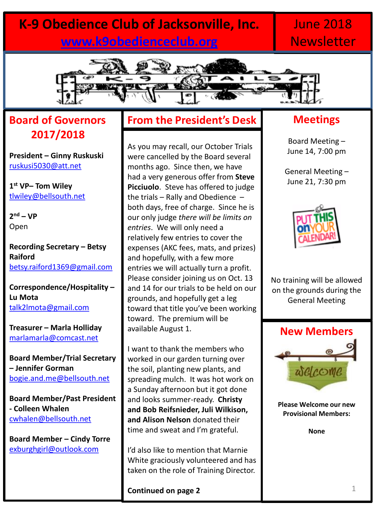# **K-9 Obedience Club of Jacksonville, Inc. [www.k9obedienceclub.org](http://www.k9obedienceclub.org/)**

## June 2018 **Newsletter**



### **Board of Governors 2017/2018**

**President – Ginny Ruskuski** [ruskusi5030@att.net](mailto:ruskusi5030@att.net)

**1 st VP– Tom Wiley** [tlwiley@bellsouth.net](mailto:tlwiley@bellsouth.net)

**2 nd – VP**  Open

**Recording Secretary – Betsy Raiford** [betsy.raiford1369@gmail.com](mailto:betsy.raiford1369@gmail.com)

**Correspondence/Hospitality – Lu Mota** [talk2lmota@gmail.com](mailto:talk2lmota@gmail.com)

**Treasurer – Marla Holliday** [marlamarla@comcast.net](mailto:marlamarla@comcast.net)

**Board Member/Trial Secretary – Jennifer Gorman** [bogie.and.me@bellsouth.net](mailto:bogie.and.me@bellsouth.net)

**Board Member/Past President - Colleen Whalen**  [cwhalen@bellsouth.net](mailto:cwhalen@bellsouth.net)

**Board Member – Cindy Torre** [exburghgirl@outlook.com](mailto:exburghgirl@outlook.com)

#### **From the President's Desk**

As you may recall, our October Trials were cancelled by the Board several months ago. Since then, we have had a very generous offer from **Steve Picciuolo**. Steve has offered to judge the trials – Rally and Obedience – both days, free of charge. Since he is our only judge *there will be limits on entries*. We will only need a relatively few entries to cover the expenses (AKC fees, mats, and prizes) and hopefully, with a few more entries we will actually turn a profit. Please consider joining us on Oct. 13 and 14 for our trials to be held on our grounds, and hopefully get a leg toward that title you've been working toward. The premium will be available August 1.

I want to thank the members who worked in our garden turning over the soil, planting new plants, and spreading mulch. It was hot work on a Sunday afternoon but it got done and looks summer-ready. **Christy and Bob Reifsnieder, Juli Wilkison, and Alison Nelson** donated their time and sweat and I'm grateful.

I'd also like to mention that Marnie White graciously volunteered and has taken on the role of Training Director.

**Continued on page 2**

#### **Meetings**

Board Meeting – June 14, 7:00 pm

General Meeting – June 21, 7:30 pm



No training will be allowed on the grounds during the General Meeting



**Please Welcome our new Provisional Members:**

**None**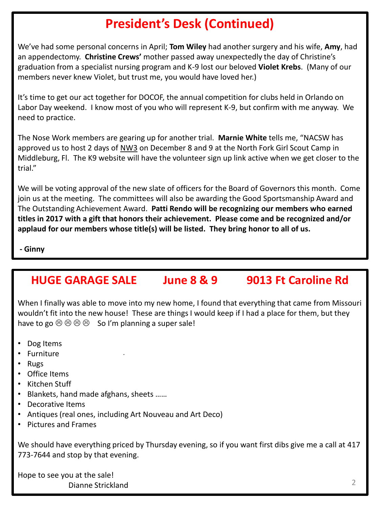# **President's Desk (Continued)**

We've had some personal concerns in April; **Tom Wiley** had another surgery and his wife, **Amy**, had an appendectomy. **Christine Crews'** mother passed away unexpectedly the day of Christine's graduation from a specialist nursing program and K-9 lost our beloved **Violet Krebs**. (Many of our members never knew Violet, but trust me, you would have loved her.)

It's time to get our act together for DOCOF, the annual competition for clubs held in Orlando on Labor Day weekend. I know most of you who will represent K-9, but confirm with me anyway. We need to practice.

The Nose Work members are gearing up for another trial. **Marnie White** tells me, "NACSW has approved us to host 2 days of NW3 on December 8 and 9 at the North Fork Girl Scout Camp in Middleburg, Fl. The K9 website will have the volunteer sign up link active when we get closer to the trial."

We will be voting approval of the new slate of officers for the Board of Governors this month. Come join us at the meeting. The committees will also be awarding the Good Sportsmanship Award and The Outstanding Achievement Award. **Patti Rendo will be recognizing our members who earned titles in 2017 with a gift that honors their achievement. Please come and be recognized and/or applaud for our members whose title(s) will be listed. They bring honor to all of us.** 

**- Ginny**

### **HUGE GARAGE SALE June 8 & 9 9013 Ft Caroline Rd**

When I finally was able to move into my new home, I found that everything that came from Missouri wouldn't fit into the new house! These are things I would keep if I had a place for them, but they have to go  $\odot$   $\odot$   $\odot$   $\odot$   $\odot$  so I'm planning a super sale!

- Dog Items
- Furniture
- Rugs
- Office Items
- Kitchen Stuff
- Blankets, hand made afghans, sheets ……
- Decorative Items
- Antiques (real ones, including Art Nouveau and Art Deco)

*.* 

• Pictures and Frames

We should have everything priced by Thursday evening, so if you want first dibs give me a call at 417 773-7644 and stop by that evening.

Hope to see you at the sale! Dianne Strickland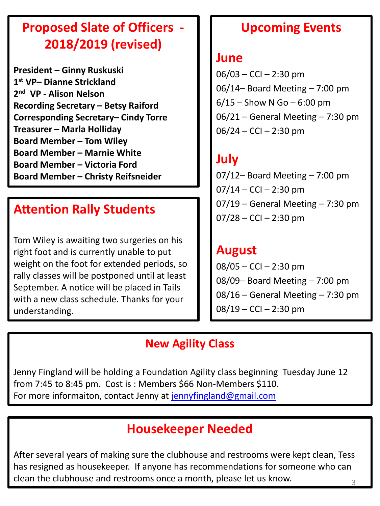# **Proposed Slate of Officers - 2018/2019 (revised)**

**President – Ginny Ruskuski 1 st VP– Dianne Strickland 2 nd VP - Alison Nelson Recording Secretary – Betsy Raiford Corresponding Secretary– Cindy Torre Treasurer – Marla Holliday Board Member – Tom Wiley Board Member – Marnie White Board Member – Victoria Ford Board Member – Christy Reifsneider**

# **Attention Rally Students**

Tom Wiley is awaiting two surgeries on his right foot and is currently unable to put weight on the foot for extended periods, so rally classes will be postponed until at least September. A notice will be placed in Tails with a new class schedule. Thanks for your understanding.

# **Upcoming Events**

#### **June**

 $06/03 - CCl - 2:30$  pm 06/14– Board Meeting – 7:00 pm  $6/15 -$  Show N Go  $-6:00$  pm 06/21 – General Meeting – 7:30 pm  $06/24 - CCl - 2:30$  pm

# **July**

07/12– Board Meeting – 7:00 pm  $07/14 - CCl - 2:30$  pm 07/19 – General Meeting – 7:30 pm  $07/28 - CCl - 2:30$  pm

### **August**

 $08/05 - CCl - 2:30$  pm 08/09– Board Meeting – 7:00 pm 08/16 – General Meeting – 7:30 pm  $08/19 - CCl - 2:30$  pm

## **New Agility Class**

Jenny Fingland will be holding a Foundation Agility class beginning Tuesday June 12 from 7:45 to 8:45 pm. Cost is : Members \$66 Non-Members \$110. For more informaiton, contact Jenny at [jennyfingland@gmail.com](mailto:jennyfingland@gmail.com)

# **Housekeeper Needed**

3 After several years of making sure the clubhouse and restrooms were kept clean, Tess has resigned as housekeeper. If anyone has recommendations for someone who can clean the clubhouse and restrooms once a month, please let us know.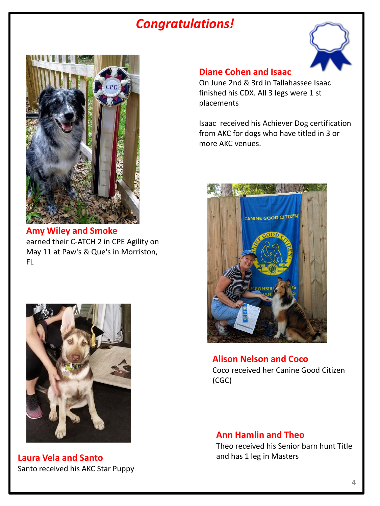### *Congratulations!*



**Amy Wiley and Smoke**  earned their C-ATCH 2 in CPE Agility on May 11 at Paw's & Que's in Morriston, FL



**Laura Vela and Santo** Santo received his AKC Star Puppy



#### **Diane Cohen and Isaac**

On June 2nd & 3rd in Tallahassee Isaac finished his CDX. All 3 legs were 1 st placements

Isaac received his Achiever Dog certification from AKC for dogs who have titled in 3 or more AKC venues.



**Alison Nelson and Coco** Coco received her Canine Good Citizen (CGC)

#### **Ann Hamlin and Theo**

Theo received his Senior barn hunt Title and has 1 leg in Masters